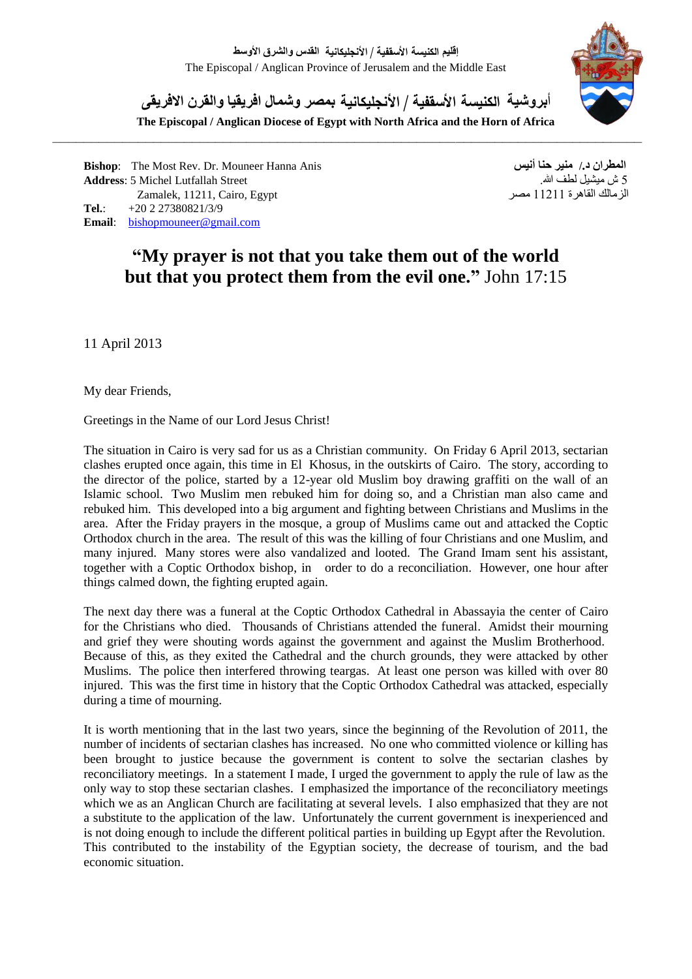

أ**بروشية الكنيسة األسقفية / األ نجميكانية بمصر وشمال افريقيا والقرن االفريقى**

**The Episcopal / Anglican Diocese of Egypt with North Africa and the Horn of Africa**

**Bishop**: The Most Rev. Dr. Mouneer Hanna Anis **أنيس حنا منير /.د المطران** 5 ش ميشيل لطف الله.<br>11211 , Cairo, Egypt هصمر Zamalek, 11211, Cairo, Egypt Zamalek, 11211, Cairo, Egypt **Tel.**: +20 2 27380821/3/9 **Email**: bishopmouneer@gmail.com

## **"My prayer is not that you take them out of the world but that you protect them from the evil one."** John 17:15

11 April 2013

My dear Friends,

Greetings in the Name of our Lord Jesus Christ!

The situation in Cairo is very sad for us as a Christian community. On Friday 6 April 2013, sectarian clashes erupted once again, this time in El Khosus, in the outskirts of Cairo. The story, according to the director of the police, started by a 12-year old Muslim boy drawing graffiti on the wall of an Islamic school. Two Muslim men rebuked him for doing so, and a Christian man also came and rebuked him. This developed into a big argument and fighting between Christians and Muslims in the area. After the Friday prayers in the mosque, a group of Muslims came out and attacked the Coptic Orthodox church in the area. The result of this was the killing of four Christians and one Muslim, and many injured. Many stores were also vandalized and looted. The Grand Imam sent his assistant, together with a Coptic Orthodox bishop, in order to do a reconciliation. However, one hour after things calmed down, the fighting erupted again.

The next day there was a funeral at the Coptic Orthodox Cathedral in Abassayia the center of Cairo for the Christians who died. Thousands of Christians attended the funeral. Amidst their mourning and grief they were shouting words against the government and against the Muslim Brotherhood. Because of this, as they exited the Cathedral and the church grounds, they were attacked by other Muslims. The police then interfered throwing teargas. At least one person was killed with over 80 injured. This was the first time in history that the Coptic Orthodox Cathedral was attacked, especially during a time of mourning.

It is worth mentioning that in the last two years, since the beginning of the Revolution of 2011, the number of incidents of sectarian clashes has increased. No one who committed violence or killing has been brought to justice because the government is content to solve the sectarian clashes by reconciliatory meetings. In a statement I made, I urged the government to apply the rule of law as the only way to stop these sectarian clashes. I emphasized the importance of the reconciliatory meetings which we as an Anglican Church are facilitating at several levels. I also emphasized that they are not a substitute to the application of the law. Unfortunately the current government is inexperienced and is not doing enough to include the different political parties in building up Egypt after the Revolution. This contributed to the instability of the Egyptian society, the decrease of tourism, and the bad economic situation.